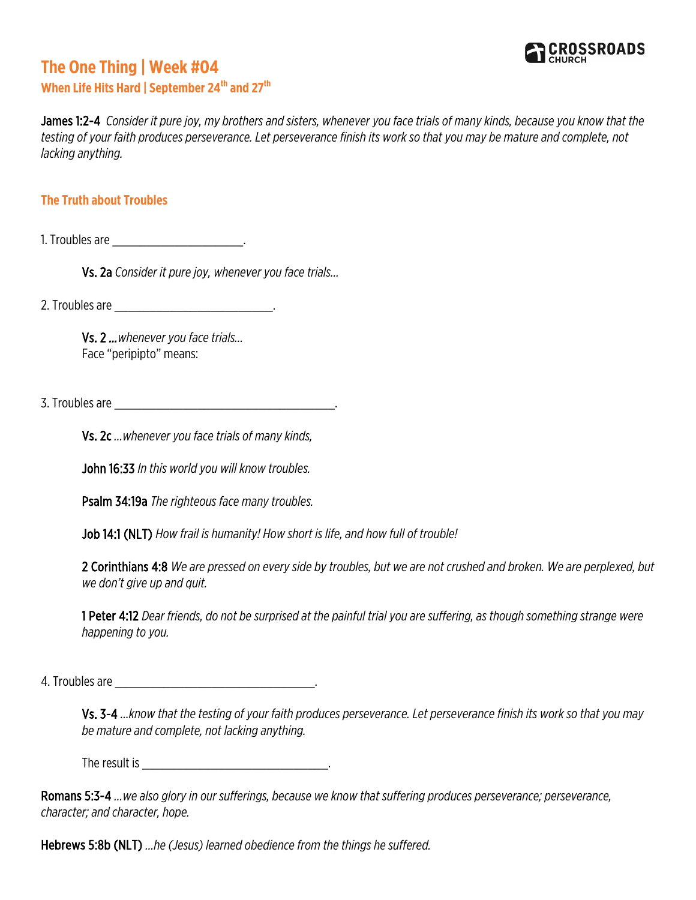## **The One Thing | Week #04**



**When Life Hits Hard | September 24<sup>th</sup> and 27<sup>th</sup>** 

James 1:2-4 *Consider it pure joy, my brothers and sisters, whenever you face trials of many kinds, because you know that the testing of your faith produces perseverance. Let perseverance finish its work so that you may be mature and complete, not lacking anything.*

## **The Truth about Troubles**

1. Troubles are the control of the control of the control of the control of the control of the control of the c

Vs. 2a *Consider it pure joy, whenever you face trials…*

2. Troubles are  $\overline{\phantom{a}}$ .

Vs. 2 *…whenever you face trials…* Face "peripipto" means:

3. Troubles are  $\blacksquare$ 

Vs. 2c *…whenever you face trials of many kinds,*

John 16:33 *In this world you will know troubles.*

Psalm 34:19a *The righteous face many troubles.*

Job 14:1 (NLT) *How frail is humanity! How short is life, and how full of trouble!*

2 Corinthians 4:8 *We are pressed on every side by troubles, but we are not crushed and broken. We are perplexed, but we don't give up and quit.*

1 Peter 4:12 *Dear friends, do not be surprised at the painful trial you are suffering, as though something strange were happening to you.* 

4. Troubles are  $\overline{a}$ 

Vs. 3-4 *…know that the testing of your faith produces perseverance. Let perseverance finish its work so that you may be mature and complete, not lacking anything.* 

The result is  $\blacksquare$ 

Romans 5:3-4 *…we also glory in our sufferings, because we know that suffering produces perseverance; perseverance, character; and character, hope.*

Hebrews 5:8b (NLT) *…he (Jesus) learned obedience from the things he suffered.*